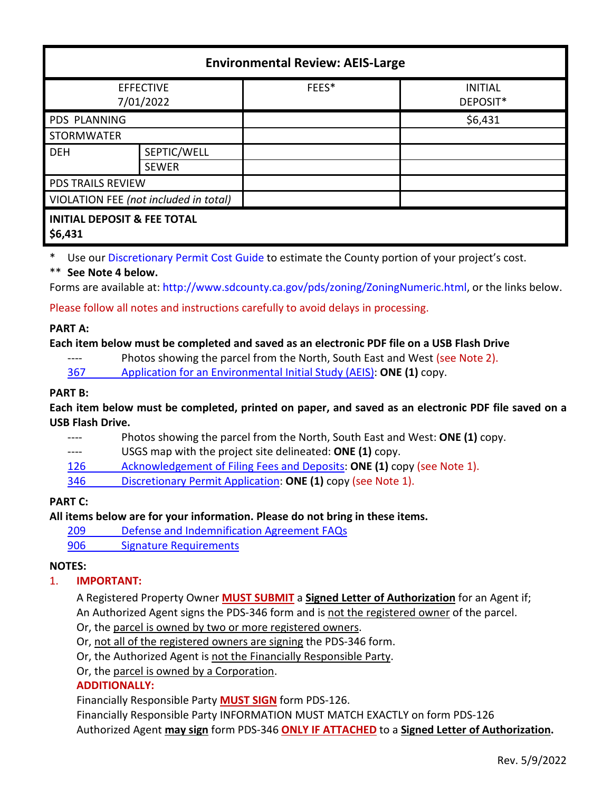| <b>Environmental Review: AEIS-Large</b>           |              |       |                            |
|---------------------------------------------------|--------------|-------|----------------------------|
| <b>EFFECTIVE</b><br>7/01/2022                     |              | FEES* | <b>INITIAL</b><br>DEPOSIT* |
| PDS PLANNING                                      |              |       | \$6,431                    |
| <b>STORMWATER</b>                                 |              |       |                            |
| <b>DEH</b>                                        | SEPTIC/WELL  |       |                            |
|                                                   | <b>SEWER</b> |       |                            |
| <b>PDS TRAILS REVIEW</b>                          |              |       |                            |
| VIOLATION FEE (not included in total)             |              |       |                            |
| <b>INITIAL DEPOSIT &amp; FEE TOTAL</b><br>\$6,431 |              |       |                            |

Use our [Discretionary Permit Cost Guide](http://www.sandiegocounty.gov/content/dam/sdc/pds/docs/Discretionary_Permit_Cost_Guide.xlsx) to estimate the County portion of your project's cost.

### \*\* **See Note 4 below.**

Forms are available at[: http://www.sdcounty.ca.gov/pds/zoning/ZoningNumeric.html,](http://www.sdcounty.ca.gov/pds/zoning/ZoningNumeric.html) or the links below.

Please follow all notes and instructions carefully to avoid delays in processing.

### **PART A:**

### **Each item below must be completed and saved as an electronic PDF file on a USB Flash Drive**

---- Photos showing the parcel from the North, South East and West (see Note 2).

367 [Application for an Environmental Initial Study \(AEIS\):](http://www.sdcounty.ca.gov/pds/zoning/formfields/PDS-PLN-367.pdf) **ONE (1)** copy.

### **PART B:**

**Each item below must be completed, printed on paper, and saved as an electronic PDF file saved on a USB Flash Drive.**

---- Photos showing the parcel from the North, South East and West: **ONE (1)** copy.

---- USGS map with the project site delineated: **ONE (1)** copy.

[126 Acknowledgement of Filing](http://www.sdcounty.ca.gov/pds/zoning/formfields/PDS-PLN-126.pdf) Fees and Deposits: **ONE (1)** copy (see Note 1).

346 [Discretionary Permit Application:](http://www.sdcounty.ca.gov/pds/zoning/formfields/PDS-PLN-346.pdf) **ONE (1)** copy (see Note 1).

# **PART C:**

# **All items below are for your information. Please do not bring in these items.**

209 [Defense and Indemnification Agreement FAQs](http://www.sdcounty.ca.gov/pds/zoning/formfields/PDS-PLN-209.pdf)

[906 Signature Requirements](http://www.sdcounty.ca.gov/pds/zoning/formfields/PDS-PLN-906.pdf) 

### **NOTES:**

# 1. **IMPORTANT:**

A Registered Property Owner **MUST SUBMIT** a **Signed Letter of Authorization** for an Agent if; An Authorized Agent signs the PDS-346 form and is not the registered owner of the parcel.

Or, the parcel is owned by two or more registered owners.

Or, not all of the registered owners are signing the PDS-346 form.

Or, the Authorized Agent is not the Financially Responsible Party.

Or, the parcel is owned by a Corporation.

# **ADDITIONALLY:**

Financially Responsible Party **MUST SIGN** form PDS-126.

Financially Responsible Party INFORMATION MUST MATCH EXACTLY on form PDS-126 Authorized Agent **may sign** form PDS-346 **ONLY IF ATTACHED** to a **Signed Letter of Authorization.**